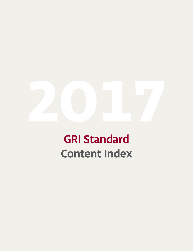

# **GRI Standard Content Index**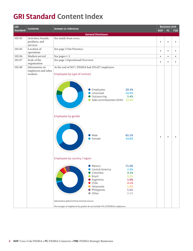### **GRI Standard Content Index**

| GRI             | <b>Contents</b>                                  | Answer or reference                                                                                                                                                                                                                     |            | <b>Business Unit</b> |            |
|-----------------|--------------------------------------------------|-----------------------------------------------------------------------------------------------------------------------------------------------------------------------------------------------------------------------------------------|------------|----------------------|------------|
| <b>Standard</b> |                                                  |                                                                                                                                                                                                                                         | <b>KOF</b> | FC                   | <b>FSB</b> |
|                 |                                                  | <b>General Disclosure</b>                                                                                                                                                                                                               |            |                      |            |
| 102-02          | Activities, brands,<br>products, and<br>services | See inside front cover.                                                                                                                                                                                                                 | $\bullet$  |                      |            |
| 102-04          | Location of<br>operations                        | See page 2 Our Presence.                                                                                                                                                                                                                | $\bullet$  | $\bullet$            |            |
| 102-06          | Markets served                                   | See pages 1-3.                                                                                                                                                                                                                          | $\bullet$  | $\bullet$            | $\bullet$  |
| 102-07          | Scale of the<br>organization                     | See page 3 Operational Overview.                                                                                                                                                                                                        | $\bullet$  | $\bullet$            | $\bullet$  |
| 102-08          | Information on<br>employees and other<br>workers | At the end of 2017, FEMSA had 295,027 employees.<br>Employees by type of contract<br><b>Employees</b><br>20.3%<br>Unionized<br>54.9%<br>Outsourcing<br>5.4%<br>Sales commissioners OXXO 19.4%                                           |            |                      |            |
|                 |                                                  | Employees by gender<br>Male<br>65.2%<br>Female<br>34.8%<br>Employees by country / region<br>71.0%<br>• Mexico<br>Central America<br>2.4%<br>Colombia<br>4.3%<br><b>Brazil</b><br>9.2%<br>● Argentina<br>1.0%<br>$\bullet$ Chile<br>4.1% | ٠          |                      |            |
|                 |                                                  | ● Venezuela<br>1.9%<br>• Philippines<br>5.6%<br>● Other<br>0.5%<br>Information gathered from internal sources.<br>Percentages of employees by gender do not include 9% of FEMSA's employees.                                            |            |                      |            |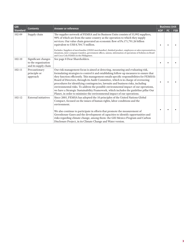| <b>GRI</b>      | <b>Contents</b>                                                    | <b>Answer or reference</b>                                                                                                                                                                                                                                                                                                                                                                                                                                                                                                                                                                                                                                                                                   | <b>Business Unit</b> |    |            |  |  |
|-----------------|--------------------------------------------------------------------|--------------------------------------------------------------------------------------------------------------------------------------------------------------------------------------------------------------------------------------------------------------------------------------------------------------------------------------------------------------------------------------------------------------------------------------------------------------------------------------------------------------------------------------------------------------------------------------------------------------------------------------------------------------------------------------------------------------|----------------------|----|------------|--|--|
| <b>Standard</b> |                                                                    |                                                                                                                                                                                                                                                                                                                                                                                                                                                                                                                                                                                                                                                                                                              | <b>KOF</b>           | FC | <b>FSB</b> |  |  |
| 102-09          | Supply chain                                                       | The supplier network of FEMSA and its Business Units consists of 53,992 suppliers,<br>98% of which are from the same country as the operation to which they supply<br>services. Our value chain generated an economic flow of Ps.171,791.26 billion<br>equivalent to US\$ 8,704.73 million.<br>Excludes: Suppliers of merchandise (OXXO merchandise), finished product, employees or sales representatives,<br>donations, inter-company transfers, government offices, unions, information of operations of Solistica in Brazil<br>and Coca-Cola FEMSA in the Philippines.                                                                                                                                   |                      |    |            |  |  |
| $102 - 10$      | Significant changes<br>to the organization<br>and its supply chain | See page 8 Dear Shareholders.                                                                                                                                                                                                                                                                                                                                                                                                                                                                                                                                                                                                                                                                                |                      |    |            |  |  |
| $102 - 11$      | Precautionary<br>principle or<br>approach                          | Our risk management focus is aimed at detecting, measuring and evaluating risk,<br>formulating strategies to control it and establishing follow-up measures to ensure that<br>they function efficiently. This management entails specific responsibilities for FEMSA's<br>Board of Directors, through its Audit Committee, which is in charge of overseeing<br>procedures for identifying contingencies, lawsuits and business risks, including<br>environmental risks. To address the possible environmental impact of our operations,<br>we have a Strategic Sustainability Framework, which includes the guideline pillar Our<br>Planet, in order to minimize the environmental impact of our operations. |                      |    |            |  |  |
| $102 - 12$      | <b>External initiatives</b>                                        | Since 2005, FEMSA has adopted the 10 principles of the United Nations Global<br>Compact, focused on the issues of human rights, labor conditions and the<br>environment.<br>We also continue to participate in efforts that promote the measurement of<br>Greenhouse Gases and the development of capacities to identify opportunities and<br>risks regarding climate change, among them: the GEI Mexico Program and Carbon<br>Disclosure Project, in its Climate Change and Water version.                                                                                                                                                                                                                  |                      |    |            |  |  |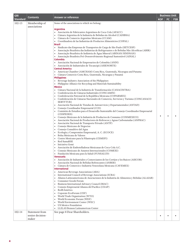| <b>GRI</b> | <b>Contents</b>  | <b>Answer or reference</b>                                                                                                                         |            | <b>Business Unit</b> |            |
|------------|------------------|----------------------------------------------------------------------------------------------------------------------------------------------------|------------|----------------------|------------|
| Standard   |                  |                                                                                                                                                    | <b>KOF</b> | <b>FC</b>            | <b>FSB</b> |
| $102 - 13$ | Membership of    | Some of the associations to which we belong:                                                                                                       |            |                      |            |
|            | associations     |                                                                                                                                                    |            |                      |            |
|            |                  | Argentina                                                                                                                                          |            |                      |            |
|            |                  | Asociación de Fabricantes Argentinos de Coca-Cola (AFACC)<br>$\bullet$<br>Cámara Argentina de la Industria de Bebidas sin Alcohol (CADIBSA)        |            |                      |            |
|            |                  | Cámara de Comercio Argentino Mexicana (CCAM)                                                                                                       |            |                      |            |
|            |                  | Coordinadora de las Industrias de Productos Alimenticios (COPAL)<br>$\bullet$                                                                      |            |                      |            |
|            |                  | <b>Brazil</b>                                                                                                                                      |            |                      |            |
|            |                  | Sindicato das Empresas de Transportes de Carga de São Paulo (SETCESP)<br>$\bullet$                                                                 |            |                      |            |
|            |                  | Associação Brazileira das Indústrias de Refrigerantes e de Bebidas Não Alcoólicas (ABIR)                                                           |            |                      |            |
|            |                  | Associação Brazileira de Indústria de Água Mineral (ABINAN/SINDNAN)<br>٠<br>Associação Brasileira Pró-Desenvolvimento Regional Sustentável (ADIAL) |            |                      |            |
|            |                  | Colombia                                                                                                                                           |            |                      |            |
|            |                  | Asociación Nacional de Empresarios de Colombia (ANDI)<br>$\bullet$                                                                                 |            |                      |            |
|            |                  | Asociación de Industriales de Tocancipá (ASIENORTE)                                                                                                |            |                      |            |
|            |                  | <b>Central America</b>                                                                                                                             |            |                      |            |
|            |                  | American Chamber (AMCHAM) Costa Rica, Guatemala, Nicaragua and Panama                                                                              |            |                      |            |
|            |                  | Cámara Comercio Costa Rica, Guatemala, Nicaragua y Panamá                                                                                          |            |                      |            |
|            |                  | <b>Philippines</b><br>Beverage Industry Association of the Philippines                                                                             |            |                      |            |
|            |                  | Philippine Alliance for Recycling and Materials Sustainability<br>٠                                                                                |            |                      |            |
|            |                  | <b>Mexico</b>                                                                                                                                      |            |                      |            |
|            |                  | Cámara Nacional de la Industria de Transformación (CANACINTRA)<br>$\bullet$                                                                        |            |                      |            |
|            |                  | Confederación de Cámaras Industriales (CONCAMIN)<br>٠                                                                                              |            |                      |            |
|            |                  | Confederación Patronal de la República Mexicana (COPARMEX)                                                                                         |            |                      |            |
|            |                  | Confederación de Cámaras Nacionales de Comercio, Servicios y Turismo (CONCANACO)<br>٠<br>SERVYTUR)                                                 |            |                      |            |
|            |                  | Asociación Nacional de Tiendas de Autoservicio y Departamentales (ANTAD)<br>$\bullet$                                                              |            |                      |            |
|            |                  | Consejo Coordinador Empresarial (CCE)<br>$\bullet$                                                                                                 |            |                      |            |
|            |                  | Comisión de Estudios para el Desarrollo Sustentable del Consejo Coordinador Empresarial                                                            |            |                      |            |
|            |                  | (CESPEDES)                                                                                                                                         | ٠          | $\bullet$            |            |
|            |                  | Consejo Mexicano de la Industria de Productos de Consumo (CONMEXICO)                                                                               |            |                      |            |
|            |                  | Asociación Nacional de Productores de Refrescos y Aguas Carbonatadas (ANPRAC)<br>٠                                                                 |            |                      |            |
|            |                  | Asociación Nacional de Transporte Privado (ANTP)<br>٠<br>Consejo Mexicano de Negocios                                                              |            |                      |            |
|            |                  | Consejo Consultivo del Agua<br>٠                                                                                                                   |            |                      |            |
|            |                  | Ecología y Compromiso Empresarial, A. C. (ECOCE)                                                                                                   |            |                      |            |
|            |                  | Bolsa Mexicana de Valores                                                                                                                          |            |                      |            |
|            |                  | Centro Mexicano para la Filantropía (CEMEFI)<br>$\bullet$                                                                                          |            |                      |            |
|            |                  | Red SumaRSE                                                                                                                                        |            |                      |            |
|            |                  | Iniciativa Gemi<br>Asociación de Embotelladoras Mexicanas de Coca-Cola A.C.                                                                        |            |                      |            |
|            |                  | Consejo Mexicano de Asuntos Internacionales (COMEXI)                                                                                               |            |                      |            |
|            |                  | Fundación Mexicana para la Salud (FUNSALUD)<br>$\bullet$                                                                                           |            |                      |            |
|            |                  | Venezuela                                                                                                                                          |            |                      |            |
|            |                  | Asociación de Industriales y Comerciantes de los Cortijos y los Ruices (ASICOR)<br>$\bullet$                                                       |            |                      |            |
|            |                  | Asociación Nacional de Bebidas Refrescantes (ANBER)<br>$\bullet$                                                                                   |            |                      |            |
|            |                  | Cámara de Comercio e Industria Venezolana Mexicana (CAVEMEX)<br>$\bullet$<br><b>International</b>                                                  |            |                      |            |
|            |                  | American Beverage Associations (ABA)<br>$\bullet$                                                                                                  |            |                      |            |
|            |                  | International Council of Beverage Associations (ICBA)                                                                                              |            |                      |            |
|            |                  | Alianza Latinoamericana de Asociaciones de la Industria de Alimentos y Bebidas (ALAIAB)<br>$\bullet$                                               |            |                      |            |
|            |                  | Consumer Goods Forum<br>٠                                                                                                                          |            |                      |            |
|            |                  | Business International Advisory Council (BIAC)<br>٠                                                                                                |            |                      |            |
|            |                  | Consejo Empresarial Alianza del Pacífico (CEAP)<br>٠<br>RedEAmérica<br>٠                                                                           |            |                      |            |
|            |                  | Coporate EcoForum (CEF)<br>$\bullet$                                                                                                               |            |                      |            |
|            |                  | World Trade Organization (WTO)                                                                                                                     |            |                      |            |
|            |                  | World Economic Forum (WEF)<br>٠                                                                                                                    |            |                      |            |
|            |                  | World Environment Center (WEC)<br>$\bullet$                                                                                                        |            |                      |            |
|            |                  | US Mexico Foundation                                                                                                                               |            |                      |            |
|            |                  | LLILAS Benson Latinamerican Center                                                                                                                 |            |                      |            |
| $102 - 14$ | Statement from   | See page 8 Dear Shareholders.                                                                                                                      |            |                      |            |
|            | senior decision- |                                                                                                                                                    | ٠          |                      |            |
|            | maker            |                                                                                                                                                    |            |                      |            |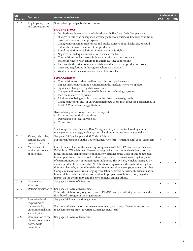| <b>GRI</b>      |                                     | <b>Answer or reference</b>                                                                                                                                                          | <b>Business Unit</b> |           |            |
|-----------------|-------------------------------------|-------------------------------------------------------------------------------------------------------------------------------------------------------------------------------------|----------------------|-----------|------------|
| <b>Standard</b> | <b>Contents</b>                     |                                                                                                                                                                                     | <b>KOF</b>           | <b>FC</b> | <b>FSB</b> |
| $102 - 15$      | Key impacts, risks,                 | Some of our principal business risks are:                                                                                                                                           |                      |           |            |
|                 | and opportunities                   |                                                                                                                                                                                     |                      |           |            |
|                 |                                     | Coca-Cola FEMSA                                                                                                                                                                     |                      |           |            |
|                 |                                     | • Our business depends on its relationship with The Coca-Cola Company, and<br>changes in this relationship may adversely affect our business, financial condition,                  |                      |           |            |
|                 |                                     | results of operations and prospects.                                                                                                                                                |                      |           |            |
|                 |                                     | Changes in consumer preferences and public concern about health issues could                                                                                                        |                      |           |            |
|                 |                                     | reduce the demand for some of our products.                                                                                                                                         |                      |           |            |
|                 |                                     | Brand reputation or violations of brand ownership rights.<br>$\bullet$                                                                                                              |                      |           |            |
|                 |                                     | Negative or inadequate information on social media.<br>٠                                                                                                                            |                      |           |            |
|                 |                                     | Competition could adversely influence our financial performance.                                                                                                                    |                      |           |            |
|                 |                                     | Water shortages or any failure to maintain existing concessions.<br>Increases in the prices of raw materials would increase our production costs.                                   |                      |           |            |
|                 |                                     | Taxes and regulations in the regions where we operate.                                                                                                                              |                      |           |            |
|                 |                                     | Weather conditions may adversely affect our results.<br>٠                                                                                                                           |                      |           |            |
|                 |                                     |                                                                                                                                                                                     |                      |           |            |
|                 |                                     | <b>FEMSA Comercio</b>                                                                                                                                                               | $\bullet$            |           |            |
|                 |                                     | Competition from other retailers may affect our performance.                                                                                                                        |                      |           |            |
|                 |                                     | Impact on sales in economic conditions in the markets where we operate.<br>$\bullet$<br>Significant changes in regulations or taxes.                                                |                      |           |            |
|                 |                                     | ٠<br>Changes, failures or disruption of information technology systems.                                                                                                             |                      |           |            |
|                 |                                     | Increase in electricity prices.                                                                                                                                                     |                      |           |            |
|                 |                                     | Likelihood of being unable to sustain the historic pace of growth.                                                                                                                  |                      |           |            |
|                 |                                     | Changes in energy and/or environmental regulations may affect the performance of                                                                                                    |                      |           |            |
|                 |                                     | FEMSA Comercio's Energy Division.                                                                                                                                                   |                      |           |            |
|                 |                                     | Risks relating to the countries where we operate:                                                                                                                                   |                      |           |            |
|                 |                                     | Economic or political conditions.                                                                                                                                                   |                      |           |            |
|                 |                                     | Depreciation of local currencies.                                                                                                                                                   |                      |           |            |
|                 |                                     | Crime rates.                                                                                                                                                                        |                      |           |            |
|                 |                                     |                                                                                                                                                                                     |                      |           |            |
|                 |                                     | The Comprehensive Business Risk Management System is a tool used by senior<br>management to manage, evaluate, control and monitor business-related risks.                           |                      |           |            |
| $102 - 16$      | Values, principles,                 | See pages 24 Our People and 37 Code of Ethics.                                                                                                                                      |                      |           |            |
|                 | standards, and                      | For more information on the Code of Ethics, visit: http://ir.femsa.com/code_ethics.cfm                                                                                              | $\bullet$            |           |            |
|                 | norms of behavior                   |                                                                                                                                                                                     |                      |           |            |
| 102-17          | Mechanisms for                      | One of the mechanisms for ensuring compliance with the FEMSA Code of Business                                                                                                       |                      |           |            |
|                 | advice and concerns<br>about ethics | Ethics is our Whistleblower System, through which we can receive information on                                                                                                     |                      |           |            |
|                 |                                     | illegal practices, inappropriate conduct, or violations of the Code of Ethics detected<br>in our operations. It is also used to identify possible risk situations of any kind, acts |                      |           |            |
|                 |                                     | of corruption, privacy or human rights violations. This system, which is managed by                                                                                                 |                      |           |            |
|                 |                                     | an independent firm, is available 24/7, both for employees and stakeholders, by four                                                                                                |                      |           |            |
|                 |                                     | different channels, all confidential and anonymous: phone, webpage, e-mail and chat.                                                                                                |                      |           |            |
|                 |                                     | Complaints may cover issues ranging from labor or sexual harassment, discrimination,                                                                                                |                      |           |            |
|                 |                                     | human rights violations, theft, corruption, improper use of information, negative                                                                                                   |                      |           |            |
| 102-18          | Governance                          | impact on the community and the environment, among others.<br>See page 34 Board of Directors.                                                                                       |                      |           |            |
|                 | structure                           |                                                                                                                                                                                     | $\bullet$            |           |            |
| 102-19          | Delegating authority                | See page 34 Board of Directors.                                                                                                                                                     |                      |           |            |
|                 |                                     | This is the highest body of governance at FEMSA, and its authority permeates and is                                                                                                 | $\bullet$            |           |            |
|                 |                                     | distributed throughout the organization.                                                                                                                                            |                      |           |            |
| 102-20          | Executive-level                     | See page 36 Executive Management.                                                                                                                                                   |                      |           |            |
|                 | responsibility<br>for economic,     |                                                                                                                                                                                     |                      |           |            |
|                 | environmental, and                  | For more information on our management team, visit: http://www.femsa.com/en/<br>meet-femsa/corporate-governance/management-team/                                                    | $\bullet$            |           |            |
|                 | social topics                       |                                                                                                                                                                                     |                      |           |            |
| 102-22          | Composition of the                  | See page 34 Board of Directors.                                                                                                                                                     |                      |           |            |
|                 | highest governance                  |                                                                                                                                                                                     | $\bullet$            |           |            |
|                 | body and its                        |                                                                                                                                                                                     |                      |           |            |
|                 | committees                          |                                                                                                                                                                                     |                      |           |            |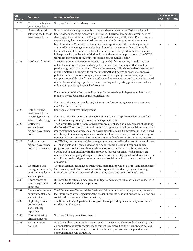| <b>GRI</b>      | <b>Contents</b>                                                                   | <b>Answer or reference</b>                                                                                                                                                                                                                                                                                                                                                                                                                                                                                                                                                                                                                                                                                                                                                                                                                                                                                                 | <b>Business Unit</b> |     |            |
|-----------------|-----------------------------------------------------------------------------------|----------------------------------------------------------------------------------------------------------------------------------------------------------------------------------------------------------------------------------------------------------------------------------------------------------------------------------------------------------------------------------------------------------------------------------------------------------------------------------------------------------------------------------------------------------------------------------------------------------------------------------------------------------------------------------------------------------------------------------------------------------------------------------------------------------------------------------------------------------------------------------------------------------------------------|----------------------|-----|------------|
| <b>Standard</b> |                                                                                   |                                                                                                                                                                                                                                                                                                                                                                                                                                                                                                                                                                                                                                                                                                                                                                                                                                                                                                                            | <b>KOF</b>           | FC. | <b>FSB</b> |
| 102-23          | Chair of the highest<br>governance body                                           | See page 36 Executive Management.                                                                                                                                                                                                                                                                                                                                                                                                                                                                                                                                                                                                                                                                                                                                                                                                                                                                                          |                      |     |            |
| 102-24          | Nominating and<br>selecting the highest<br>governance body                        | Board members are appointed by company shareholders in the Ordinary Annual<br>Shareholders' meeting. According to FEMSA's bylaws, shareholders owning series B<br>shares appoint a minimum of 11 regular board members, while series D shareholders<br>appoint 5 regular members. Furthermore, shareholders may appoint alternative<br>board members. Committee members are also appointed at the Ordinary Annual<br>Shareholders' Meeting and must be board members. Every member of the Audit<br>Committee and Corporate Practices Committee is an independent board member,<br>in keeping with the Securities Market Act and the applicable provisions of the NYSE.<br>(for more information: see http://ir.femsa.com/documents.cfm)                                                                                                                                                                                    |                      |     |            |
| 102-25          | Conflicts of interest                                                             | The Corporate Practices Committee is responsible for preventing or reducing the<br>risk of transactions that could damage the value of our company or that benefit a<br>particular group of shareholders. The committee may call a shareholders' meeting and<br>include matters on the agenda for that meeting that it deems appropriate, approve<br>policies on the use of our company's assets or related party transactions, approve the<br>compensation of the chief executive officer and key executives, and support the board<br>of directors in drafting reports on the accounting and reporting policies and criteria<br>followed in preparing financial information.<br>Each member of the Corporate Practices Committee is an independent director, as<br>required by the Mexican Securities Market Act.<br>For more information, see: http://ir.femsa.com/corporate-governance-document.<br>cfm?DocumentID=412 |                      |     |            |
| 102-26          | Role of highest<br>governance body<br>in setting purpose,<br>values, and strategy | See page 36 Executive Management.<br>For more information on our management team, visit: http://www.femsa.com/en/<br>meet-femsa/corporate-governance/management-team/                                                                                                                                                                                                                                                                                                                                                                                                                                                                                                                                                                                                                                                                                                                                                      |                      |     |            |
| 102-27          | Collective<br>knowledge of<br>highest governance<br>body                          | The Committees of the Board of Directors are established as a mechanism of assisting<br>the Board of Directors in its functions and to support it in making decisions on various<br>issues, whether economic, social or environmental. Board Committees may ask board<br>members, directors, employees, external consultants, or others, to attend meetings or<br>to meet with one or more of its members to provide relevant information as necessary.                                                                                                                                                                                                                                                                                                                                                                                                                                                                    |                      |     |            |
| 102-28          | Evaluating the<br>highest governance<br>body's performance                        | At FEMSA, the members of the management team as well as the rest of the employees<br>establish goals and targets based on their contribution level and responsibilities;<br>progress is tracked against these goals at least four times a year. This evaluation is<br>carried out in conjunction with the employee's direct superior, which permits an<br>open, close and ongoing dialogue to ratify or correct strategies followed to achieve the<br>established goals and generate economic and social value in a manner consistent with<br>our vision.                                                                                                                                                                                                                                                                                                                                                                  |                      |     |            |
| 102-29          | Identifying and<br>managing economic,<br>environmental, and<br>social impacts     | The management team keeps track of the main risks to which FEMSA and its Business<br>Units are exposed. Each Business Unit is responsible for identifying and tracking<br>internal and external business risks, including social and environmental risks.                                                                                                                                                                                                                                                                                                                                                                                                                                                                                                                                                                                                                                                                  |                      |     |            |
| 102-30          | Effectiveness of<br>risk management<br>processes                                  | Business Units establish measures to mitigate and manage risks, which are validated in<br>the annual risk identification process.                                                                                                                                                                                                                                                                                                                                                                                                                                                                                                                                                                                                                                                                                                                                                                                          | ٠                    |     |            |
| 102-31          | Review of economic,<br>environmental, and<br>social topics                        | The Management Team and the Business Units conduct a strategic planning review at<br>least four times a year, discussing the present business risks and opportunities, and any<br>social and environmental issues that may arise.                                                                                                                                                                                                                                                                                                                                                                                                                                                                                                                                                                                                                                                                                          | $\bullet$            |     |            |
| 102-32          | Highest governance<br>body's role in<br>sustainability<br>reporting               | The Sustainability Department is responsible of providing sustainability information<br>for the Annual Report.                                                                                                                                                                                                                                                                                                                                                                                                                                                                                                                                                                                                                                                                                                                                                                                                             | ٠                    |     |            |
| 102-33          | Communicating<br>critical concerns                                                | See page 34 Corporate Governance.                                                                                                                                                                                                                                                                                                                                                                                                                                                                                                                                                                                                                                                                                                                                                                                                                                                                                          | $\bullet$            |     |            |
| 102-35          | Remuneration<br>policies                                                          | Board Member compensation is approved in the General Shareholders' Meeting. The<br>compensation policy for senior management is reviewed by the Corporate Practices<br>Committee, based on compensation in the industry and/or historic practices and<br>compensation levels at FEMSA.                                                                                                                                                                                                                                                                                                                                                                                                                                                                                                                                                                                                                                     |                      |     |            |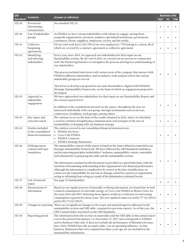| <b>GRI</b>      | <b>Contents</b>                                                  | <b>Answer or reference</b>                                                                                                                                                                                                                                                                                                                                                                                                                                                                                                                                                                                                                                                                                                                                                                                             | <b>Business Unit</b> |           |     |
|-----------------|------------------------------------------------------------------|------------------------------------------------------------------------------------------------------------------------------------------------------------------------------------------------------------------------------------------------------------------------------------------------------------------------------------------------------------------------------------------------------------------------------------------------------------------------------------------------------------------------------------------------------------------------------------------------------------------------------------------------------------------------------------------------------------------------------------------------------------------------------------------------------------------------|----------------------|-----------|-----|
| <b>Standard</b> |                                                                  |                                                                                                                                                                                                                                                                                                                                                                                                                                                                                                                                                                                                                                                                                                                                                                                                                        | <b>KOF</b>           | <b>FC</b> | FSB |
| 102-36          | Process for<br>determining<br>remuneration                       | See standard 102-35.                                                                                                                                                                                                                                                                                                                                                                                                                                                                                                                                                                                                                                                                                                                                                                                                   | $\bullet$            |           |     |
| 102-40          | List of stakeholder<br>groups                                    | At FEMSA we have various stakeholders with whom we engage, among them<br>nonprofit organizations, investors, industry, specialized institutions, government,<br>consumers, clients, suppliers, employees, society and the media.                                                                                                                                                                                                                                                                                                                                                                                                                                                                                                                                                                                       | $\bullet$            |           |     |
| 102-41          | Collective<br>bargaining<br>agreements                           | Of our total work force (221,789 of our own employees), 73% belong to a union, all of<br>which are covered by a contract, agreement or collective agreement.                                                                                                                                                                                                                                                                                                                                                                                                                                                                                                                                                                                                                                                           | $\bullet$            |           |     |
| 102-42          | Identifying<br>and selecting<br>stakeholders                     | Every year, since 2014, we approach our stakeholders for their input on our<br>Sustainability actions. By the end of 2016, we carried out an exercise in conjunction<br>with The Partnering Initiative to strengthen the process and improve understanding of<br>our stakeholders.                                                                                                                                                                                                                                                                                                                                                                                                                                                                                                                                     |                      |           |     |
|                 |                                                                  | This process included interviews with various areas of the company that interact with<br>FEMSA's different stakeholders, and an industry-wide analysis of how the various<br>stakeholder groups are served.                                                                                                                                                                                                                                                                                                                                                                                                                                                                                                                                                                                                            |                      |           |     |
|                 |                                                                  | This led us to develop a proposal for our main shareholders, aligned with FEMSA's<br>Strategic Sustainability Framework, on the basis of which an engagement proposal is<br>developed.                                                                                                                                                                                                                                                                                                                                                                                                                                                                                                                                                                                                                                 |                      |           |     |
| 102-43          | Approach to<br>stakeholder<br>engagement                         | We have approached our stakeholders for their input on our Sustainability Report and<br>the actions reported in it.                                                                                                                                                                                                                                                                                                                                                                                                                                                                                                                                                                                                                                                                                                    |                      |           |     |
|                 |                                                                  | In addition to the consultations focused on the report, throughout the year we<br>interacted individually with each group, through mechanisms such as surveys,<br>conferences, breakfasts, work groups, among others.                                                                                                                                                                                                                                                                                                                                                                                                                                                                                                                                                                                                  | ٠                    |           |     |
| 102-44          | Key topics and<br>concerns raised                                | We continue to act on the basis of the results obtained in 2016, where we identified<br>a need to continue strengthening communication and synergies in the area of<br>sustainability, in keeping with our business strategy.                                                                                                                                                                                                                                                                                                                                                                                                                                                                                                                                                                                          | $\bullet$            |           |     |
| 102-45          | Entities included<br>in the consolidated<br>financial statements | The entities covered in our consolidated financial statements are:<br>• FEMSA Servicios<br>• Coca-Cola FEMSA<br>• FEMSA Comercio<br><b>FEMSA Strategic Businesses</b>                                                                                                                                                                                                                                                                                                                                                                                                                                                                                                                                                                                                                                                  | ٠                    |           |     |
| 102-46          | Defining report<br>content and topic<br>boundaries               | The sustainability content of this report is based on the issues defined as material in our<br>Strategic Sustainability Framework. We have followed the GRI Standards Guidelines,<br>and its reporting principles (stakeholders' inclusion, sustainability context, materiality<br>and exhaustivity) in preparing this table and the sustainability section.<br>The information contained in this document is provided on a good-faith basis, with the<br>intention of broadening understanding of the organization's non-financial performance.<br>Although the information is considered to be correct at the time of publication, we<br>cannot accept responsibility for any loss or damage caused by a person or organization<br>acting or refraining from acting as a result of the information contained herein. |                      |           |     |
| 102-47          | List of material<br>topics                                       | See page 22 Sustainability.                                                                                                                                                                                                                                                                                                                                                                                                                                                                                                                                                                                                                                                                                                                                                                                            | $\bullet$            |           |     |
| 102-48          | Restatements of<br>information                                   | Based on our regular process of internally verifying information, we found that we had<br>counted consumption of renewable energy at Coca-Cola FEMSA in Mexico twice for<br>the years 2014 and 2015. Restating those figures results in a reduction in total energy<br>consumption reported for those years. The new updated values are 8,036,777 GJ (2014)<br>and 8,184,713 GJ (2015).                                                                                                                                                                                                                                                                                                                                                                                                                                | ٠                    |           |     |
| 102-49          | Changes in reporting                                             | There are no significant changes in the scope and material aspects addressed in the<br>sustainability section and GRI table, compared to previous reports. As of this year, the<br>GRI Content Index was based on the GRI Standards.                                                                                                                                                                                                                                                                                                                                                                                                                                                                                                                                                                                   |                      |           |     |
| 102-50          | Reporting period                                                 | The information from the section on materiality and the GRI table in this annual report<br>covers the period from January 1 to December 31, 2017 and corresponds to FEMSA<br>and its Business Units only. It does not include the performance of Heineken because,<br>since 2010, FEMSA has only an equity stake--not an operating influence--in that<br>business. Businesses that were acquired less than a year ago are not included in the<br>sustainability information.                                                                                                                                                                                                                                                                                                                                           |                      |           |     |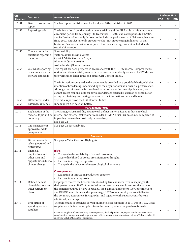| <b>GRI</b>      | <b>Contents</b>                                                                            | <b>Answer or reference</b>                                                                                                                                                                                                                                                                                                                                                                                                                                                                                                                                                                                                                                                                            |            | <b>Business Unit</b> |            |
|-----------------|--------------------------------------------------------------------------------------------|-------------------------------------------------------------------------------------------------------------------------------------------------------------------------------------------------------------------------------------------------------------------------------------------------------------------------------------------------------------------------------------------------------------------------------------------------------------------------------------------------------------------------------------------------------------------------------------------------------------------------------------------------------------------------------------------------------|------------|----------------------|------------|
| <b>Standard</b> |                                                                                            |                                                                                                                                                                                                                                                                                                                                                                                                                                                                                                                                                                                                                                                                                                       | <b>KOF</b> | FC                   | <b>FSB</b> |
| $102 - 51$      | Date of most recent<br>report                                                              | The last report published was for fiscal year 2016, published in 2017.                                                                                                                                                                                                                                                                                                                                                                                                                                                                                                                                                                                                                                |            |                      |            |
| 102-52          | Reporting cycle                                                                            | The information from the section on materiality and the GRI table in this annual report<br>covers the period from January 1 to December 31, 2017 and corresponds to FEMSA<br>and its Business Units only. It does not include the performance of Heineken, because<br>since 2010, FEMSA has only an equity stake--not an operating influence--in that<br>business. Businesses that were acquired less than a year ago are not included in the<br>sustainability report.                                                                                                                                                                                                                               |            |                      |            |
| 102-53          | Contact point for<br>questions regarding<br>the report                                     | Sustainability<br>Víctor Manuel Treviño Vargas<br>Gabriel Adrián González Anaya<br>Phone: 52 (55) 5249 6800<br>sostenibilidad@femsa.com.mx                                                                                                                                                                                                                                                                                                                                                                                                                                                                                                                                                            |            |                      |            |
| 102-54          | Claims of reporting<br>in accordance with<br>the GRI standards                             | This report has been prepared in accordance with the GRI Standards, Comprehensive<br>option, and the materiality standards have been independently reviewed by EY Mexico<br>(see verification letter at the end of this GRI Content Index).<br>The information contained in this document is provided on a good-faith basis, with the<br>intention of broadening understanding of the organization's non-financial performance.<br>Although the information is considered to be correct at the time of publication, we<br>cannot accept responsibility for any loss or damage caused by a person or organization<br>acting or refraining from acting as a result of the information contained herein. |            |                      |            |
| 102-55          | GRI content index                                                                          | This table reports on the GRI Content Index.                                                                                                                                                                                                                                                                                                                                                                                                                                                                                                                                                                                                                                                          | ٠          |                      |            |
| 102-56          | External assurance                                                                         | Independent Verification Letter.                                                                                                                                                                                                                                                                                                                                                                                                                                                                                                                                                                                                                                                                      |            |                      |            |
| $103-1$         | Explanation of the<br>material topic and its<br>boundary                                   | <b>Management focus</b><br>The Strategic Sustainability Framework defines material issues as those in which<br>internal and external stakeholders consider FEMSA or its Business Units as capable of<br>impacting them either positively or negatively.<br>See page 22.                                                                                                                                                                                                                                                                                                                                                                                                                               |            |                      |            |
| $103 - 2$       | The management<br>approach and its<br>components                                           | See page 22 Sustainability.                                                                                                                                                                                                                                                                                                                                                                                                                                                                                                                                                                                                                                                                           |            |                      |            |
|                 |                                                                                            | <b>Economic</b>                                                                                                                                                                                                                                                                                                                                                                                                                                                                                                                                                                                                                                                                                       |            |                      |            |
| $201-1$         | Direct economic<br>value generated and<br>distributed                                      | See page 4 Value Creation Highlights.                                                                                                                                                                                                                                                                                                                                                                                                                                                                                                                                                                                                                                                                 |            |                      |            |
| $201 - 2$       | Financial<br>implications and<br>other risks and<br>opportunities due to<br>climate change | <b>Risks:</b><br>• Changes in the availability of natural resources.<br>• Greater likelihood of excess precipitation or drought.<br>Increase in average temperature.<br>$\bullet$<br>• Change in the behavior of meteorological phenomena.                                                                                                                                                                                                                                                                                                                                                                                                                                                            |            |                      |            |
|                 |                                                                                            | <b>Consequences:</b><br>• Reduction or impact on production capacity.<br>• Increase in operating costs.                                                                                                                                                                                                                                                                                                                                                                                                                                                                                                                                                                                               |            |                      |            |
| $201-3$         | Defined benefit<br>plan obligations and<br>other retirement<br>plans                       | Employees receive the benefits established by law, and incentives in keeping with<br>their performance. 100% of our full-time and temporary employees receive at least<br>the benefits required by law. In Mexico, the Savings Fund covers 100% of employees<br>and FEMSA contributes with a percentage. 100% of our employees are eligible for<br>the Voluntary Retirement Savings Plan, and together with FEMSA contribute an<br>additional percentage.                                                                                                                                                                                                                                             |            |                      |            |
| $204-1$         | Proportion of<br>spending on local<br>suppliers                                            | The percentage of expenses corresponding to local suppliers in 2017 was 86.75%. Local<br>suppliers are defined as suppliers from the country where the purchase is made.<br>Excludes: Suppliers of merchandise (OXXO suppliers), finished product, employees or sales representatives,<br>donations, inter-company transfers, government offices, unions, information of operations of Solistica in Brazil<br>and Coca-Cola FEMSA in the Philippines.                                                                                                                                                                                                                                                 |            |                      |            |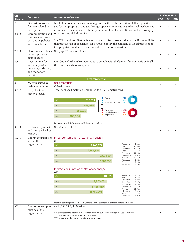| <b>GRI</b>      |                                                                                             |                                                                                                                                                                                                                                                                                                                                                                                                                                                                                                                                                                                                                                                                                                                                                                                                                 |            |    | <b>Business Unit</b> |
|-----------------|---------------------------------------------------------------------------------------------|-----------------------------------------------------------------------------------------------------------------------------------------------------------------------------------------------------------------------------------------------------------------------------------------------------------------------------------------------------------------------------------------------------------------------------------------------------------------------------------------------------------------------------------------------------------------------------------------------------------------------------------------------------------------------------------------------------------------------------------------------------------------------------------------------------------------|------------|----|----------------------|
| <b>Standard</b> | <b>Contents</b>                                                                             | <b>Answer or reference</b>                                                                                                                                                                                                                                                                                                                                                                                                                                                                                                                                                                                                                                                                                                                                                                                      | <b>KOF</b> | FC | <b>FSB</b>           |
| $205-1$         | Operations assessed<br>for risks related to<br>corruption                                   | In all of our operations, we encourage and facilitate the detection of illegal practices<br>and/or inappropriate conduct, through open communication and formal mechanisms<br>introduced in accordance with the provisions of our Code of Ethics, and we promptly                                                                                                                                                                                                                                                                                                                                                                                                                                                                                                                                               | $\bullet$  |    |                      |
| $205 - 2$       | Communication and<br>training about anti-<br>corruption policies<br>and procedures          | report on any violations of it.<br>The Whistleblower System is a formal mechanism introduced in all the Business Units<br>that provides an open channel for people to notify the company of illegal practices or<br>inappropriate conduct detected anywhere in our organization.                                                                                                                                                                                                                                                                                                                                                                                                                                                                                                                                |            |    |                      |
| $205 - 3$       | Confirmed incidents<br>of corruption and<br>actions taken                                   | See page 37 Code of Ethics.                                                                                                                                                                                                                                                                                                                                                                                                                                                                                                                                                                                                                                                                                                                                                                                     | ٠          |    |                      |
| $206-1$         | Legal actions for<br>anti-competitive<br>behavior, anti-trust,<br>and monopoly<br>practices | Our Code of Ethics also requires us to comply with the laws on fair competition in all<br>the countries where we operate.                                                                                                                                                                                                                                                                                                                                                                                                                                                                                                                                                                                                                                                                                       |            |    |                      |
|                 |                                                                                             | <b>Environmental</b>                                                                                                                                                                                                                                                                                                                                                                                                                                                                                                                                                                                                                                                                                                                                                                                            |            |    |                      |
| $301 - 1$       | Materials used by                                                                           | Used materials                                                                                                                                                                                                                                                                                                                                                                                                                                                                                                                                                                                                                                                                                                                                                                                                  |            |    |                      |
| $301 - 2$       | weight or volume<br>Recycled input<br>materials used                                        | (Metric tons)<br>Total packaged materials amounted to 518,319 metric tons.<br>Plastic<br>$\bullet$<br>7.8%<br>2017<br>518,319<br>56.9%<br>PET<br>Paper and cardboard 35.3%<br>515,095<br>2016<br>• Virgin material<br>64.9%<br>359,520<br>2015<br>Recycled material<br>34.4%<br>0.7%<br>Biopolymer<br>$\bullet$<br>309,906<br>2014                                                                                                                                                                                                                                                                                                                                                                                                                                                                              | ٠          |    |                      |
|                 |                                                                                             | Does not include information of Solistica and Imbera.                                                                                                                                                                                                                                                                                                                                                                                                                                                                                                                                                                                                                                                                                                                                                           |            |    |                      |
| $301 - 3$       | Reclaimed products<br>and their packaging<br>materials                                      | See standard 301-2.                                                                                                                                                                                                                                                                                                                                                                                                                                                                                                                                                                                                                                                                                                                                                                                             | ¢          |    |                      |
| $302 - 1$       | Energy consumption<br>within the<br>organization                                            | Direct consumption of stationary energy<br>(GJ)<br>Argentina<br>6.21%<br>2017<br>2,243,677<br>Brazil<br>16.95%<br>10.47%<br>Colombia<br>2016<br>2.144.534<br>2.71%<br>Costa Rica<br>17.94%<br>Philippines<br>2015<br>2,694,817<br>Guatemala<br>1.61%<br>Mexico<br>37.25%<br>Nicaragua<br>1.62%<br>2,682,630<br>2014<br>Panama<br>1.14%<br>4.10%<br>Venezuela<br>Indirect consumption of stationary energy<br>(GJ)<br>Argentina<br>1.27%<br>2016<br>10,340,135<br>Brazil<br>3.48%<br>Colombia<br>1.93%<br>8,803,031<br>2016<br>Costa Rica<br>0.37%<br>Philippines<br>4.23%<br>8,418,810<br>2015<br>Guatemala<br>0.26%<br>Mexico<br>86.71%<br>0.42%<br>Nicaragua<br>8,246,774<br>2014<br>Panama<br>0.28%<br>Venezuela<br>1.05%<br>Indirect consumption of FEMSA Comercio for November and December are estimated. | ٠          |    |                      |
| $302 - 2$       | Energy consumption<br>outside of the<br>organization                                        | 6,416,235.25 GJ in Mexico.<br>*This indicator includes only fuel consumption by our clients through the use of our fleet.<br>** Coca-Cola FEMSA information is estimated.<br>*** The scope of the information is only for Mexico.                                                                                                                                                                                                                                                                                                                                                                                                                                                                                                                                                                               | ٠          |    |                      |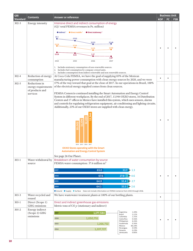| <b>Answer or reference</b><br>Contents<br><b>Standard</b><br><b>KOF</b><br>FC.<br>Intensive direct and indirect consumption of energy<br>$302 - 3$<br>Energy intensity<br>(GJ/ total FEMSA revenues in Ps. million)<br><b>O</b> Direct mobile <sup>2</sup><br>$\bullet$ Indirect <sup>1</sup><br>● Direct stationary <sup>3</sup><br>31.3<br>27.02<br>22.03<br>22.46<br>19.28<br>17.34<br>13.93<br>13.05 | FSB |
|----------------------------------------------------------------------------------------------------------------------------------------------------------------------------------------------------------------------------------------------------------------------------------------------------------------------------------------------------------------------------------------------------------|-----|
|                                                                                                                                                                                                                                                                                                                                                                                                          |     |
|                                                                                                                                                                                                                                                                                                                                                                                                          |     |
|                                                                                                                                                                                                                                                                                                                                                                                                          |     |
|                                                                                                                                                                                                                                                                                                                                                                                                          |     |
|                                                                                                                                                                                                                                                                                                                                                                                                          |     |
|                                                                                                                                                                                                                                                                                                                                                                                                          |     |
| 10.18<br>5.37<br>8.65<br>4.87                                                                                                                                                                                                                                                                                                                                                                            |     |
| 2014<br>2015<br>2016<br>2017                                                                                                                                                                                                                                                                                                                                                                             |     |
| 1. Includes stationary consumption of non-renewable sources.<br>2.<br>Includes fuel consumption by company-owned units.<br>3. Includes consumption from indirect renewable and non-renewable sources.                                                                                                                                                                                                    |     |
| Reduction of energy<br>At Coca-Cola FEMSA, we have the goal of supplying 85% of the Mexican<br>$302 - 4$<br>$\bullet$<br>$\bullet$<br>manufacturing power consumption with clean energy sources by 2020, and we were<br>consumption                                                                                                                                                                      |     |
| 57% of the way toward that goal at the close of 2017. In our operations in Brazil, 100%<br>$302 - 5$<br>Reductions in                                                                                                                                                                                                                                                                                    |     |
| of the electrical energy supplied comes from clean sources.<br>energy requirements<br>of products and                                                                                                                                                                                                                                                                                                    |     |
| FEMSA Comercio continued installing the Smart Automation and Energy Control<br>services<br>System in different workplaces. By the end of 2017, 13,944 OXXO stores, 16 Distribution                                                                                                                                                                                                                       |     |
| Centers and 17 offices in Mexico have installed this system, which uses sensors, alarms                                                                                                                                                                                                                                                                                                                  |     |
| and controls for regulating refrigeration equipment, air conditioning and lighting circuits.<br>Additionally, 23% of our OXXO stores are supplied with clean energy.                                                                                                                                                                                                                                     |     |
|                                                                                                                                                                                                                                                                                                                                                                                                          |     |
|                                                                                                                                                                                                                                                                                                                                                                                                          |     |
| 2014 2015 2016 2017                                                                                                                                                                                                                                                                                                                                                                                      |     |
| OXXO Stores operating with the Smart<br><b>Automation and Energy Control System</b>                                                                                                                                                                                                                                                                                                                      |     |
| See page 26 Our Planet.                                                                                                                                                                                                                                                                                                                                                                                  |     |
| Breakdown of water consumption by source<br>Water withdrawal by<br>$303 - 1$<br>FEMSA water consumption: 37.6 million m <sup>3</sup><br>source                                                                                                                                                                                                                                                           |     |
| 2017<br>65.0<br>$33.7 - 1.3$                                                                                                                                                                                                                                                                                                                                                                             |     |
| 67.6<br>2016<br>27.8<br>$-4.6$<br>$\bullet$                                                                                                                                                                                                                                                                                                                                                              |     |
| 2015<br>64.8<br>$32.4 - 2.7$                                                                                                                                                                                                                                                                                                                                                                             |     |
| $33.3 - 2.6$<br>64.1<br>2014                                                                                                                                                                                                                                                                                                                                                                             |     |
| ● Ground ● Supply ● Surface Does not include information on FEMSA Comercio from 2015 through 2016.                                                                                                                                                                                                                                                                                                       |     |
| $303 - 3$<br>Water recycled and<br>We have wastewater treatment plants at 100% of our bottling plants.<br>$\bullet$<br>reused                                                                                                                                                                                                                                                                            |     |
| Direct and indirect greenhouse gas emissions<br>$305 - 1$<br>Direct (Scope 1)<br>GHG emissions<br>Metric tons of CO <sub>2</sub> e (stationary and indirect)                                                                                                                                                                                                                                             |     |
| $305 - 2$<br>Energy indirect<br>Argentina<br>1.49%<br>(Scope 2) GHG<br>1,177,584<br>2017<br>Brazil<br>2.22%                                                                                                                                                                                                                                                                                              |     |
| emissions<br>Colombia<br>1.35%<br>1,050,751<br>2016<br>Costa Rica<br>0.36%                                                                                                                                                                                                                                                                                                                               |     |
| Philippines<br>6.26%<br>0.36%<br>1,266,732<br>Guatemala<br>2015<br>Mexico<br>86.28%                                                                                                                                                                                                                                                                                                                      |     |
| Nicaragua<br>0.59%<br>1,207,727<br>2014<br>0.29%<br>Panama<br>Venezuela<br>0.80%                                                                                                                                                                                                                                                                                                                         |     |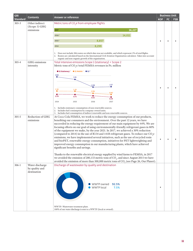| <b>GRI</b>      |                                                  | <b>Answer or reference</b>                                                                                                                                                                                                                                                                                                                                                                                                                                                                                                                                                                                                                                                                                                                                                                                                                                                                                                                                                                                                 |            | <b>Business Unit</b> |            |
|-----------------|--------------------------------------------------|----------------------------------------------------------------------------------------------------------------------------------------------------------------------------------------------------------------------------------------------------------------------------------------------------------------------------------------------------------------------------------------------------------------------------------------------------------------------------------------------------------------------------------------------------------------------------------------------------------------------------------------------------------------------------------------------------------------------------------------------------------------------------------------------------------------------------------------------------------------------------------------------------------------------------------------------------------------------------------------------------------------------------|------------|----------------------|------------|
| <b>Standard</b> | Contents                                         |                                                                                                                                                                                                                                                                                                                                                                                                                                                                                                                                                                                                                                                                                                                                                                                                                                                                                                                                                                                                                            | <b>KOF</b> | FC                   | <b>FSB</b> |
| $305 - 3$       | Other indirect                                   | Metric tons of CO <sub>2</sub> e from employee flights                                                                                                                                                                                                                                                                                                                                                                                                                                                                                                                                                                                                                                                                                                                                                                                                                                                                                                                                                                     |            |                      |            |
|                 | (Scope 3) GHG<br>emissions                       | 2017<br>16,227                                                                                                                                                                                                                                                                                                                                                                                                                                                                                                                                                                                                                                                                                                                                                                                                                                                                                                                                                                                                             |            |                      |            |
|                 |                                                  |                                                                                                                                                                                                                                                                                                                                                                                                                                                                                                                                                                                                                                                                                                                                                                                                                                                                                                                                                                                                                            |            |                      |            |
|                 |                                                  | 14,011<br>2016 <sup>2</sup>                                                                                                                                                                                                                                                                                                                                                                                                                                                                                                                                                                                                                                                                                                                                                                                                                                                                                                                                                                                                |            |                      |            |
|                 |                                                  | 8,857<br>2015 <sup>1</sup>                                                                                                                                                                                                                                                                                                                                                                                                                                                                                                                                                                                                                                                                                                                                                                                                                                                                                                                                                                                                 |            |                      |            |
|                 |                                                  | 8,299<br>2014                                                                                                                                                                                                                                                                                                                                                                                                                                                                                                                                                                                                                                                                                                                                                                                                                                                                                                                                                                                                              |            |                      |            |
|                 |                                                  | 1. Does not include 206 routes on which data was not available, and which represent 1% of total flights.<br>2. Routes are calculated based on the International Civil Aviation Organization calculator. Takes into account                                                                                                                                                                                                                                                                                                                                                                                                                                                                                                                                                                                                                                                                                                                                                                                                 |            |                      |            |
|                 |                                                  | organic and non-organic growth of the organization.                                                                                                                                                                                                                                                                                                                                                                                                                                                                                                                                                                                                                                                                                                                                                                                                                                                                                                                                                                        |            |                      |            |
| 305-4           | GHG emissions                                    | Total intensive emissions Scope 1 (stationary) + Scope 2                                                                                                                                                                                                                                                                                                                                                                                                                                                                                                                                                                                                                                                                                                                                                                                                                                                                                                                                                                   |            |                      |            |
|                 | intensity                                        | Metric tons of CO <sub>2</sub> e/total FEMSA revenues in Ps. million                                                                                                                                                                                                                                                                                                                                                                                                                                                                                                                                                                                                                                                                                                                                                                                                                                                                                                                                                       |            |                      |            |
|                 |                                                  | ● S1 Stationary <sup>1</sup> ● S1 Mobile <sup>2</sup> ● S2 <sup>3</sup>                                                                                                                                                                                                                                                                                                                                                                                                                                                                                                                                                                                                                                                                                                                                                                                                                                                                                                                                                    |            |                      |            |
|                 |                                                  | 3.80<br>3.31                                                                                                                                                                                                                                                                                                                                                                                                                                                                                                                                                                                                                                                                                                                                                                                                                                                                                                                                                                                                               |            |                      |            |
|                 |                                                  |                                                                                                                                                                                                                                                                                                                                                                                                                                                                                                                                                                                                                                                                                                                                                                                                                                                                                                                                                                                                                            |            |                      |            |
|                 |                                                  | 2.17<br>2.08                                                                                                                                                                                                                                                                                                                                                                                                                                                                                                                                                                                                                                                                                                                                                                                                                                                                                                                                                                                                               |            |                      |            |
|                 |                                                  | 1.38<br>1.28<br>0.96                                                                                                                                                                                                                                                                                                                                                                                                                                                                                                                                                                                                                                                                                                                                                                                                                                                                                                                                                                                                       |            |                      |            |
|                 |                                                  | 0.80<br>0.78<br>0.75                                                                                                                                                                                                                                                                                                                                                                                                                                                                                                                                                                                                                                                                                                                                                                                                                                                                                                                                                                                                       |            |                      |            |
|                 |                                                  | 0.55<br>0.39                                                                                                                                                                                                                                                                                                                                                                                                                                                                                                                                                                                                                                                                                                                                                                                                                                                                                                                                                                                                               |            |                      |            |
|                 |                                                  | 2014<br>2015<br>2016<br>2017                                                                                                                                                                                                                                                                                                                                                                                                                                                                                                                                                                                                                                                                                                                                                                                                                                                                                                                                                                                               |            |                      |            |
|                 |                                                  | 1. Includes stationary consumption of non-renewable sources.<br>2. Includes fuel consumption by company-owned units.<br>3. Includes fuel consumption of indirect renewable and non-renewable sources.                                                                                                                                                                                                                                                                                                                                                                                                                                                                                                                                                                                                                                                                                                                                                                                                                      |            |                      |            |
| $305 - 5$       | Reduction of GHG<br>emissions                    | At Coca-Cola FEMSA, we work to reduce the energy consumption of our products,<br>benefiting our consumers and the environment. Over the past 12 years, we have<br>succeeded in reducing the energy requirement of our main equipment by 44%. We are<br>focusing efforts on our goal of using environmentally-friendly refrigerant gases in 80%<br>of the equipment we make, by the year 2021. In 2017, we achieved a 30% reduction<br>(compared to 2014) in the use of R134 and 141B refrigerant gases. To reduce our CO <sub>2</sub> e<br>emissions, we have implemented several initiatives, such as the use of recycled resin<br>and bioPET, renewable energy consumption, initiatives for PET lightweighting and<br>improved energy consumption in our manufacturing plants, which have achieved<br>significant benefits and savings.<br>Thanks to the renewable electrical energy supplied by wind farms to FEMSA, in 2017<br>we avoided the emission of 280,133 metric tons of $CO2$ , and since August 2015 we have | ٠          |                      |            |
|                 |                                                  | avoided the emission of more than 500,000 metric tons of CO <sub>2</sub> (see Page 26, Our Planet).                                                                                                                                                                                                                                                                                                                                                                                                                                                                                                                                                                                                                                                                                                                                                                                                                                                                                                                        |            |                      |            |
| $306-1$         | Water discharge<br>by quality and<br>destination | Discharge of wastewater by quality and destination<br>WWTP owned<br>92.5%<br>WWTP local<br>7.5%                                                                                                                                                                                                                                                                                                                                                                                                                                                                                                                                                                                                                                                                                                                                                                                                                                                                                                                            |            |                      |            |
|                 |                                                  | WWTP: Wastewater treatment plant.<br>100% of our water discharge is sent to a WWTP (local or owned).                                                                                                                                                                                                                                                                                                                                                                                                                                                                                                                                                                                                                                                                                                                                                                                                                                                                                                                       |            |                      |            |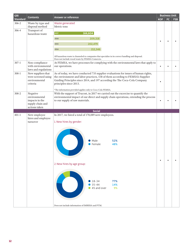| <b>GRI</b>      | <b>Contents</b>                                                                  | Answer or reference                                                                                                                                                                                                                                                           |            | <b>Business Unit</b> |            |
|-----------------|----------------------------------------------------------------------------------|-------------------------------------------------------------------------------------------------------------------------------------------------------------------------------------------------------------------------------------------------------------------------------|------------|----------------------|------------|
| <b>Standard</b> |                                                                                  |                                                                                                                                                                                                                                                                               | <b>KOF</b> | FC.                  | <b>FSB</b> |
| $306 - 2$       | Waste by type and                                                                | Waste generated                                                                                                                                                                                                                                                               |            |                      |            |
| 306-4           | disposal method<br>Transport of                                                  | Metric tons                                                                                                                                                                                                                                                                   |            |                      |            |
|                 | hazardous waste                                                                  | 2017<br>166,604                                                                                                                                                                                                                                                               |            |                      |            |
|                 |                                                                                  | 209,318<br>2016                                                                                                                                                                                                                                                               |            |                      |            |
|                 |                                                                                  | 202,479<br>2015                                                                                                                                                                                                                                                               | ٠          |                      |            |
|                 |                                                                                  | 212,346<br>2014                                                                                                                                                                                                                                                               |            |                      |            |
|                 |                                                                                  | All hazardous waste is channeled to companies that specialize in its correct handling and disposal.<br>Does not include wood waste by FEMSA Comercio.                                                                                                                         |            |                      |            |
| $307 - 1$       | Non-compliance<br>with environmental<br>laws and regulations                     | At FEMSA, we have processes for complying with the environmental laws that apply to<br>our operations.                                                                                                                                                                        | $\bullet$  |                      |            |
| $308 - 1$       | New suppliers that<br>were screened using<br>environmental<br>criteria           | As of today, we have conducted 735 supplier evaluations for issues of human rights,<br>the environment and labor practices, 538 of them according to FEMSA's Supplier<br>Guiding Principles since 2014, and 197 according the The Coca-Cola Company<br>principles since 2013. | $\bullet$  |                      |            |
| $308 - 2$       | Negative<br>environmental<br>impacts in the<br>supply chain and<br>actions taken | *The information provided applies only to Coca-Cola FEMSA.<br>With the support of Trucost, in 2017 we carried out the excercise to quantify the<br>environmental impact of our direct and supply chain operations, extending the process<br>to our supply of raw materials.   | $\bullet$  |                      |            |
|                 |                                                                                  | <b>Social</b>                                                                                                                                                                                                                                                                 |            |                      |            |
| $401 - 1$       | New employee<br>hires and employee                                               | In 2017, we hired a total of 178,089 new employees.                                                                                                                                                                                                                           |            |                      |            |
|                 | turnover                                                                         | 1. New hires by gender:<br>Male<br>52%<br>Female<br>48%<br>2. New hires by age group:                                                                                                                                                                                         | $\bullet$  |                      |            |
|                 |                                                                                  | 77%<br>$• 18-34$<br>$35 - 44$<br>14%<br>45 and over<br>9%<br>Does not include information of IMBERA and PTM.                                                                                                                                                                  |            |                      |            |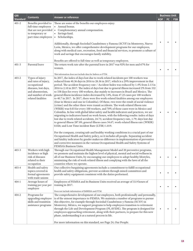| <b>GRI</b>      |                                                                                                                                                  |                                                                                                                                                                                                                                                                                                                                                                                                                                                                                                                                                                                                                                                                                                                                                                                                                                                                                                                                                                                                                                                                                                                                                                                                                                                                                                                                                                                                                                                                                                                                                                                                                                                                                                                                     | <b>Business Unit</b> |           |            |
|-----------------|--------------------------------------------------------------------------------------------------------------------------------------------------|-------------------------------------------------------------------------------------------------------------------------------------------------------------------------------------------------------------------------------------------------------------------------------------------------------------------------------------------------------------------------------------------------------------------------------------------------------------------------------------------------------------------------------------------------------------------------------------------------------------------------------------------------------------------------------------------------------------------------------------------------------------------------------------------------------------------------------------------------------------------------------------------------------------------------------------------------------------------------------------------------------------------------------------------------------------------------------------------------------------------------------------------------------------------------------------------------------------------------------------------------------------------------------------------------------------------------------------------------------------------------------------------------------------------------------------------------------------------------------------------------------------------------------------------------------------------------------------------------------------------------------------------------------------------------------------------------------------------------------------|----------------------|-----------|------------|
| <b>Standard</b> | <b>Contents</b>                                                                                                                                  | <b>Answer or reference</b>                                                                                                                                                                                                                                                                                                                                                                                                                                                                                                                                                                                                                                                                                                                                                                                                                                                                                                                                                                                                                                                                                                                                                                                                                                                                                                                                                                                                                                                                                                                                                                                                                                                                                                          | <b>KOF</b>           | <b>FC</b> | <b>FSB</b> |
| $401 - 2$       | Benefits provided to<br>full-time employees<br>that are not provided $\cdot$<br>to temporary or<br>part-time employees                           | These are some of the benefits our employees enjoy:<br>• Annual bonus.<br>Complementary annual compensation.<br>Savings fund.<br>$\bullet$<br>Scholarships.<br>$\bullet$<br>Additionally, through Sociedad Cuauhtémoc y Famosa (SCYF) in Monterrey, Nuevo<br>León, Mexico, we offer comprehensive development programs for our employees,<br>along with medical care, recreation, food and financial services, to promote a culture of<br>work and savings that encourages family stability.<br>Benefits are offered to full-time as well as temporary employees.                                                                                                                                                                                                                                                                                                                                                                                                                                                                                                                                                                                                                                                                                                                                                                                                                                                                                                                                                                                                                                                                                                                                                                   | $\bullet$            |           |            |
| $401 - 3$       | Parental leave                                                                                                                                   | The return work rate after the parental leave in 2017 was 92% for men and 67% for                                                                                                                                                                                                                                                                                                                                                                                                                                                                                                                                                                                                                                                                                                                                                                                                                                                                                                                                                                                                                                                                                                                                                                                                                                                                                                                                                                                                                                                                                                                                                                                                                                                   |                      |           |            |
|                 |                                                                                                                                                  | women.<br>This information does not include data for Imbera or PTM.                                                                                                                                                                                                                                                                                                                                                                                                                                                                                                                                                                                                                                                                                                                                                                                                                                                                                                                                                                                                                                                                                                                                                                                                                                                                                                                                                                                                                                                                                                                                                                                                                                                                 | $\bullet$            |           |            |
| $403 - 2$       | Types of injury<br>and rates of injury,<br>occupational<br>diseases, lost days,<br>and absenteeism,<br>and number of work-<br>related fatalities | In 2017, the index of days lost due to work-related incidents per 100 workers was<br>reduced from 40.36 days in 2016 to 28.56 in 2017, which is a 29% improvement in that<br>period. The accident frequency rate / Accident Index was reduced by 1.4% from 2.13 in<br>2016 to 2.10 in 2017. The index of days lost due to general illness increased 2% from 332<br>to 338 days for every 100 workers, due mainly to increases in Brazil and Mexico. The<br>general illness incidence index decreased by 14%, from 47.25 cases per 100 workers<br>to 40.7 in 2017. In 2017, there were five work-related fatalities among our employees<br>(four in Mexico and one in Colombia). Of these, two were the result of social violence<br>(crime) and the other three were transit accidents. The work-related illness rate<br>(WRIR) was 0.03 for every 100 workers, and 70% of these cases were in Mexico and<br>Colombia. In line with global labor safety and health indicators and practices, we are<br>migrating to indicators based on work-hours, with the following results: index of days<br>lost due to work-related accidents, 24.75; accident frequency rate, 1.79; days lost due<br>to general illness 287.89; general illness cases 34.67; work-related illness rate (WRIR)<br>0.026; and Lost Time incident Rate (LTIR) 1.819.<br>For the company, creating safe and healthy working conditions is a crucial part of our<br>Occupational Health and Safety policy, so it includes all people. Separating accident<br>and fatality indicators by gender makes no difference in implementation of preventive<br>and corrective measures in the various Occupational Health and Safety Systems of<br>FEMSA's Business Units. |                      |           |            |
| $403 - 3$       | Workers with high<br>incidence or high<br>risk of diseases<br>related to their<br>occupation                                                     | Through our Occupational Health Management Model and 20 preventive programs,<br>we promote and maintain the highest level of physical, mental and social wellness in<br>all of our Business Units, by encouraging our employees to adopt healthy lifestyles,<br>minimizing the risk of work-related illness and complying with the laws of all the<br>countries where we operate.                                                                                                                                                                                                                                                                                                                                                                                                                                                                                                                                                                                                                                                                                                                                                                                                                                                                                                                                                                                                                                                                                                                                                                                                                                                                                                                                                   |                      |           |            |
| 403-4           | Health and safety<br>topics covered in<br>formal agreements<br>with trade unions                                                                 | Our collective bargaining agreements include a commitment to fulfill occupational<br>health and safety obligations, prevent accidents through mixed committees and<br>provide safety equipment consistent with the duties performed.                                                                                                                                                                                                                                                                                                                                                                                                                                                                                                                                                                                                                                                                                                                                                                                                                                                                                                                                                                                                                                                                                                                                                                                                                                                                                                                                                                                                                                                                                                |                      |           |            |
| $404 - 1$       | Average hours of<br>training per year per<br>employee                                                                                            | Employees of FEMSA and its Business Units received an average of 33.9 hours of<br>training in 2017.<br>Does not include information of IMBERA and PTM.                                                                                                                                                                                                                                                                                                                                                                                                                                                                                                                                                                                                                                                                                                                                                                                                                                                                                                                                                                                                                                                                                                                                                                                                                                                                                                                                                                                                                                                                                                                                                                              | $\bullet$            |           |            |
| $404 - 2$       | Programs for<br>upgrading employee<br>skills and transition<br>assistance programs                                                               | The comprehensive development of our employees, both professionally and personally,<br>is of the utmost importance to FEMSA. We maintain a number of programs to pursue<br>this objective, for example through Sociedad Cuauhtémoc y Famosa (SCYF) in<br>Monterrey, México, we support programs to help employees transition to retirement<br>through the Life and Development Program (PLAVIDE). The program is designed for<br>employees approaching retirement, along with their partners, to prepare for this new<br>phase, understanding it as a natural process in life.<br>For more information on this standard, see Page 24, Our People.                                                                                                                                                                                                                                                                                                                                                                                                                                                                                                                                                                                                                                                                                                                                                                                                                                                                                                                                                                                                                                                                                   |                      |           |            |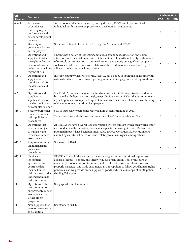| <b>GRI</b>                         |                                                                                                                                                                                                                                                                                                                                                                                                                                                                                                                                                                                                                       |                                                                                                                                                                                                                                                                                                                                                                                                                | <b>Business Unit</b> |    |            |
|------------------------------------|-----------------------------------------------------------------------------------------------------------------------------------------------------------------------------------------------------------------------------------------------------------------------------------------------------------------------------------------------------------------------------------------------------------------------------------------------------------------------------------------------------------------------------------------------------------------------------------------------------------------------|----------------------------------------------------------------------------------------------------------------------------------------------------------------------------------------------------------------------------------------------------------------------------------------------------------------------------------------------------------------------------------------------------------------|----------------------|----|------------|
| <b>Contents</b><br><b>Standard</b> |                                                                                                                                                                                                                                                                                                                                                                                                                                                                                                                                                                                                                       | <b>Answer or reference</b>                                                                                                                                                                                                                                                                                                                                                                                     | <b>KOF</b>           | FC | <b>FSB</b> |
| $404 - 3$                          | Percentage<br>of employees<br>receiving regular<br>performance and<br>career development<br>reviews                                                                                                                                                                                                                                                                                                                                                                                                                                                                                                                   | As part of our talent management, during the year, 23,350 employees received<br>individual performance and professional development evaluations.                                                                                                                                                                                                                                                               |                      |    |            |
| $405 - 1$                          | Diversity of<br>governance bodies<br>and employees                                                                                                                                                                                                                                                                                                                                                                                                                                                                                                                                                                    | Structure of Board of Directors, See page 34; See standard 102-08.                                                                                                                                                                                                                                                                                                                                             |                      |    |            |
| $407 - 1$                          | Operations and<br>suppliers in which<br>the right to freedom<br>of association and<br>collective bargaining<br>may be at risk                                                                                                                                                                                                                                                                                                                                                                                                                                                                                         | FEMSA has a policy of respecting employees' freedom of association and union<br>affiliation; and their right to create or join a union, voluntarily and freely, without fear<br>of reprisals or intimidation. In our work centers and among our significant suppliers,<br>we have identified no threats or violations of the freedom of association and right to<br>adhere to collective bargaining contracts. |                      |    |            |
| $408 - 1$                          | Operations and<br>suppliers at<br>significant risk for<br>incidents of child<br>labor                                                                                                                                                                                                                                                                                                                                                                                                                                                                                                                                 | In every country where we operate, FEMSA has a policy of operating in keeping with<br>national and international laws regarding minimum hiring age and working conditions.                                                                                                                                                                                                                                     |                      |    |            |
| $409 - 1$                          | For FEMSA, human beings are the fundamental factor in the organization, and must<br>Operations and<br>suppliers at<br>be treated with dignity. Accordingly, we prohibit any form of labor that is not mutually<br>significant risk for<br>agreed upon, and we reject all types of unpaid work, servitude, slavery or withholding<br>incidents of forced<br>of documents as a condition of employment.<br>or compulsory labor                                                                                                                                                                                          |                                                                                                                                                                                                                                                                                                                                                                                                                |                      |    |            |
| $410-1$                            | Security personnel<br>trained in human<br>rights policies or<br>procedures                                                                                                                                                                                                                                                                                                                                                                                                                                                                                                                                            | 80% of our security personnel received human rights training in 2017.<br>This percentage does not include security personnel from FEMSA Comercio, Imbera and PTM.                                                                                                                                                                                                                                              |                      |    |            |
| $412 - 1$                          | Operations that<br>have been subject<br>to human rights<br>reviews or impact<br>assessments                                                                                                                                                                                                                                                                                                                                                                                                                                                                                                                           | At FEMSA we have a Workplace Information System through which each work center<br>can conduct a self-evaluation that includes specific human right issues. To date, no<br>potential impacts have been identified. Also, at Coca-Cola FEMSA, operations are<br>audited by an external party for issues relating to human rights, among others.                                                                  |                      |    |            |
| $412 - 2$                          | <b>Employee training</b><br>on human rights<br>policies or<br>procedures                                                                                                                                                                                                                                                                                                                                                                                                                                                                                                                                              | See standard 404-1.                                                                                                                                                                                                                                                                                                                                                                                            |                      |    |            |
| $412 - 3$                          | Significant<br>FEMSA's Code of Ethics is one of the ways we give our unconditional support to<br>a sense of respect, honesty and integrity in our organization. These values are an<br>investment<br>essential part of our corporate culture, and enable us to ensure our businesses are<br>agreements and<br>properly managed. The Code encourages all our suppliers to follow good human rights<br>contracts that<br>include human<br>practices, and we provide every supplier of goods and services a copy of our Supplier<br>rights clauses or that<br>Guiding Principles.<br>underwent human<br>rights screening |                                                                                                                                                                                                                                                                                                                                                                                                                | $\bullet$            |    |            |
| $413 - 1$                          | Operations with<br>local community<br>engagement, impact<br>assessments, and<br>development<br>programs                                                                                                                                                                                                                                                                                                                                                                                                                                                                                                               | See page 28 Our Community.                                                                                                                                                                                                                                                                                                                                                                                     |                      |    |            |
| $414 - 1$                          | New suppliers that<br>were screened using<br>social criteria                                                                                                                                                                                                                                                                                                                                                                                                                                                                                                                                                          | See standard 308-1.                                                                                                                                                                                                                                                                                                                                                                                            | $\bullet$            |    |            |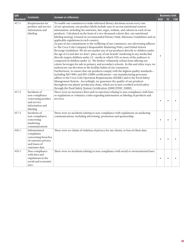| <b>GRI</b>      | <b>Contents</b>                                                                                             | Answer or reference                                                                                                                                                                                                                                                                                                                                                                                                                                                                                                                                                                                                                                                                                                                                                                                                                                                                                                                                                                                                                                                                                                                                                                                                                                                                                                                                                                                                                                                                                                                                                                                                                                                     |            |     | <b>Business Unit</b> |
|-----------------|-------------------------------------------------------------------------------------------------------------|-------------------------------------------------------------------------------------------------------------------------------------------------------------------------------------------------------------------------------------------------------------------------------------------------------------------------------------------------------------------------------------------------------------------------------------------------------------------------------------------------------------------------------------------------------------------------------------------------------------------------------------------------------------------------------------------------------------------------------------------------------------------------------------------------------------------------------------------------------------------------------------------------------------------------------------------------------------------------------------------------------------------------------------------------------------------------------------------------------------------------------------------------------------------------------------------------------------------------------------------------------------------------------------------------------------------------------------------------------------------------------------------------------------------------------------------------------------------------------------------------------------------------------------------------------------------------------------------------------------------------------------------------------------------------|------------|-----|----------------------|
| <b>Standard</b> |                                                                                                             |                                                                                                                                                                                                                                                                                                                                                                                                                                                                                                                                                                                                                                                                                                                                                                                                                                                                                                                                                                                                                                                                                                                                                                                                                                                                                                                                                                                                                                                                                                                                                                                                                                                                         | <b>KOF</b> | FC. | <b>FSB</b>           |
| $417 - 1$       | Requirements for<br>product and service<br>information and<br>labeling                                      | To enable our consumers to make informed dietary decisions across every one<br>of our operations, our product labels include easy-to-access nutritional content<br>information, including the nutrients, fats, sugar, sodium, and calories in each of our<br>products. Calculated on the basis of a two-thousand-calorie diet, our nutritional<br>labeling strategy is based on recommended Dietary Daily Allowance Guidelines and on<br>applicable regulations in each country.<br>As part of our commitment to the wellbeing of our consumers, our advertising adheres<br>to The Coca-Cola Company's Responsible Marketing Policy and Global School<br>Beverage Guidelines. We do not market any of our products directly to children under<br>the age of 12 and also we don't place any of our brands' marketing in any media that<br>directly targets children under 12-media in which 35% or more of the audience is<br>composed of children under 12. We further voluntarily refrain from offering our<br>caloric beverages for sale in primary and secondary schools. In this and other ways, we<br>underscore our devotion to the healthy habits of our consumers.<br>Furthermore, to ensure that our products comply with the highest quality standards-<br>including ISO-9001 and ISO-22000 certifications-our manufacturing processes<br>adhere to the Coca-Cola Operation Requirements (KORE) and to the Food Safety<br>Management System. Accordingly, we guarantee the quality of our products<br>throughout our plants' production chain, which are in turn certified in food safety<br>through the Food Safety System Certification 22000 (FSSC 22000). |            |     |                      |
| $417 - 2$       | Incidents of<br>non-compliance<br>concerning product<br>and service<br>information and<br>labeling          | There were no monetary fines and/or sanctions relating to non-compliance with laws<br>or regulations or voluntary codes regarding information or labeling of products and<br>services.                                                                                                                                                                                                                                                                                                                                                                                                                                                                                                                                                                                                                                                                                                                                                                                                                                                                                                                                                                                                                                                                                                                                                                                                                                                                                                                                                                                                                                                                                  | $\bullet$  |     |                      |
| $417 - 3$       | Incidents of<br>non-compliance<br>concerning<br>marketing<br>communications                                 | There were no incidents relating to non-compliance with regulations on marketing<br>communications, including advertising, promotion and sponsorship.                                                                                                                                                                                                                                                                                                                                                                                                                                                                                                                                                                                                                                                                                                                                                                                                                                                                                                                                                                                                                                                                                                                                                                                                                                                                                                                                                                                                                                                                                                                   |            |     |                      |
| $418 - 1$       | Substantiated<br>complaints<br>concerning breaches<br>of customer privacy<br>and losses of<br>customer data | There were no claims of violation of privacy for our clients, or loss of client data.                                                                                                                                                                                                                                                                                                                                                                                                                                                                                                                                                                                                                                                                                                                                                                                                                                                                                                                                                                                                                                                                                                                                                                                                                                                                                                                                                                                                                                                                                                                                                                                   | ٠          |     |                      |
| $419-1$         | Non-compliance<br>with laws and<br>regulations in the<br>social and economic<br>area                        | There were no incidents relating to non-compliance with social or environmental laws.                                                                                                                                                                                                                                                                                                                                                                                                                                                                                                                                                                                                                                                                                                                                                                                                                                                                                                                                                                                                                                                                                                                                                                                                                                                                                                                                                                                                                                                                                                                                                                                   | $\bullet$  |     |                      |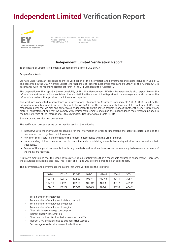## **Independent Limited Verification Report**



Av. Ejército Nacional 843-B Antara Polanco 11520 México, D.F. Fax: +55 5283 1392 ey.com/mx Av. Ejército Nacional 843-B Phone: +55 5283 1300

### **Independent Limited Verification Report**

To the Board of Directors of Fomento Económico Mexicano, S.A.B de C.V.:

#### **Scope of our Work**

We have undertaken an independent limited verification of the information and performance indicators included in Exhibit A and presented in the 2017 Annual Report (the "Report") of Fomento Económico Mexicano ("FEMSA" or the "Company"), in accordance with the reporting criteria set forth in the GRI Standards (the "Criteria").

The preparation of this report is the responsibility of FEMSA's Management. FEMSA's Management is also responsible for the information and the assertions contained therein, defining the scope of the Report and the management and control of the information systems that provided the information reported.

Our work was conducted in accordance with International Standard on Assurance Engagements (ISAE) 3000 issued by the International Auditing and Assurance Standards Board (IAASB) of the International Federation of Accountants (IFAC). This standard requires that we plan and perform our engagement to obtain limited assurance about whether the report is free from material misstatement and that we comply with ethical requirements, including the independence requirements included in the Code of Ethics of the International Ethics Standards Board for Accountants (IESBA).

#### **Standards and verification procedures**

The verification procedures we performed focused on the following:

- Interviews with the individuals responsible for the information in order to understand the activities performed and the procedures used to gather the information.
- Review of the structure and content of the Report in accordance with the GRI Standards.
- Understanding of the procedures used in compiling and consolidating quantitative and qualitative data, as well as their traceability.
- Review of the support documentation through analysis and recalculations, as well as sampling, to have more certainty of the indicators reported.

It is worth mentioning that the scope of this review is substantially less than a reasonable assurance engagement. Therefore, the assurance provided is also less. This Report shall in no way be considered to be an audit report.

The information and performance indicators that were verified are the following

| $102 - 4$  | $102 - 18$ | 102-26 | 102-31 | 102-46    | $204 - 1$ | $303-1$ |
|------------|------------|--------|--------|-----------|-----------|---------|
| 102-15     | 102-19     | 102-27 | 102-41 | 102-48    | $301 - 1$ | 305-4   |
| $102 - 16$ | 102-20     | 102-28 | 102-42 | $103-1$   | $301-2$   | 401-2   |
| 102-17     | 102-22     | 102-29 | 102-45 | $103 - 2$ | $302 - 3$ | 404-2   |

- Total number of employees
- Total number of employees by labor contract
- Total number of employees by gender
- Total number of employees by region
- Direct stationary energy consumption
- Indirect energy consumption
- Direct and indirect GHG emissions (scope 1 and 2)
- Indirect GHG emissions due to business trips (scope 3)
- Percentage of water discharged by destination

A Member Practice of Ernst & Young Global Limited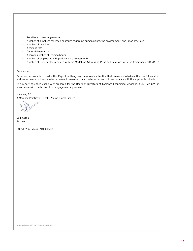- Total tons of waste generated
- Number of suppliers assessed on issues regarding human rights, the environment, and labor practices
- Number of new hires
- Accident rate
- General illness rate
- Average number of training hours
- Number of employees with performance assessments
- Number of work centers enabled with the Model for Addressing Risks and Relations with the Community (MARRCO)

#### **Conclusions**

Based on our work described in this Report, nothing has come to our attention that causes us to believe that the information and performance indicators selected are not presented, in all material respects, in accordance with the applicable criteria.

This report has been exclusively prepared for the Board of Directors of Fomento Económico Mexicano, S.A.B. de C.V., in accordance with the terms of our engagement agreement.

Mancera, S.C.

A Member Practice of Ernst & Young Global Limited

Saúl García Partner

February 21, 2018; Mexico City

A Member Practice of Ernst & Young Global Limited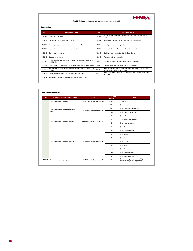

#### **Exhibit A: Information and performance indicators exhibit**

#### **Information**

| <b>GRI</b> | <b>Information name</b>                                                          | <b>GRI</b> | <b>Information name</b>                                                                               |  |  |
|------------|----------------------------------------------------------------------------------|------------|-------------------------------------------------------------------------------------------------------|--|--|
| $102 - 4$  | 102-29<br>Location of operations                                                 |            | Identifying and managing economic, environmental, and social<br>impacts                               |  |  |
| 102-15     | 102-31<br>Key impacts, risks, and opportunities                                  |            | Review of economic, environmental, and social topics                                                  |  |  |
| 102-16     | $102 - 42$<br>Values, principles, standards, and norms of behavior               |            | Identifying and selecting stakeholders                                                                |  |  |
| $102 - 17$ | Mechanisms for advice and concerns about ethics                                  | $102 - 45$ | Entities included in the consolidated financial statements                                            |  |  |
| $102 - 18$ | Governance structure                                                             |            | Defining report content and topic Boundaries                                                          |  |  |
| 102-19     | Delegating authority                                                             |            | Restatements of information                                                                           |  |  |
| 102-20     | Executive-level responsibility for economic, environmental, and<br>social topics | $103 - 1$  | Explanation of the material topic and its Boundary                                                    |  |  |
| 102-22     | Composition of the highest governance body and its committees                    | $103 - 2$  | The management approach and its components                                                            |  |  |
| 102-26     | Role of highest governance body in setting purpose, values, and<br>strategy      | $401 - 2$  | Benefits provided to full-time employees that are not provided to<br>temporary or part-time employees |  |  |
| 102-27     | Collective knowledge of highest governance body                                  |            | Programs for upgrading employee skills and transition assistance<br>programs                          |  |  |
| 102-28     | Evaluating the highest governance body's performance                             |            |                                                                                                       |  |  |
|            |                                                                                  |            |                                                                                                       |  |  |

| <b>GRI</b> | Name of performance indicator       | <b>Scope</b>                              | <b>Information</b><br>reported | <b>Unit</b>                                                       |
|------------|-------------------------------------|-------------------------------------------|--------------------------------|-------------------------------------------------------------------|
|            | Total number of employees           | FFMSA and its business units              | 295,027                        | Employees                                                         |
|            |                                     |                                           | 20.3                           | % of employees                                                    |
|            | Total number of employees by labor  | FFMSA and its business units              | 54.9                           | % of unionized employees                                          |
|            | contract                            |                                           | 5.4                            | % of external services                                            |
|            |                                     |                                           | 19.5                           | % of sales commissions                                            |
|            |                                     | FFMSA and its business units <sup>i</sup> | 34.8                           | % of female employees                                             |
|            | Total number of employees by gender |                                           | 65.2                           | % of male employees                                               |
|            |                                     |                                           | 71.0                           | % in Mexico                                                       |
|            |                                     |                                           | 2.4                            | % in Central America                                              |
|            |                                     |                                           | 4.3                            | % in Colombia                                                     |
|            |                                     |                                           | 9.2                            | % in Brazil                                                       |
|            | Total number of employees by region | FFMSA and its business units              | 1.0                            | % in Argentina                                                    |
|            |                                     |                                           | 4.1                            | % in Chile                                                        |
|            |                                     |                                           | 1.9                            | % in Venezuela                                                    |
|            |                                     |                                           | 5.6                            | % in the Philippines                                              |
|            |                                     |                                           | 0.5                            | % in other countries                                              |
| $102 - 41$ | Collective bargaining agreements    | FFMSA and its business units              | 73.0                           | % of own employees covered by<br>collective bargaining agreements |